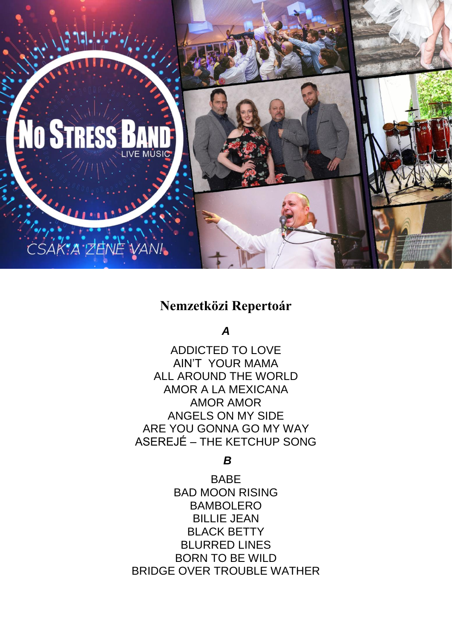

# **Nemzetközi Repertoár**

*A*

ADDICTED TO LOVE AIN'T YOUR MAMA ALL AROUND THE WORLD AMOR A LA MEXICANA AMOR AMOR ANGELS ON MY SIDE ARE YOU GONNA GO MY WAY ASEREJÉ – THE KETCHUP SONG

*B*

BABE BAD MOON RISING BAMBOLERO BILLIE JEAN BLACK BETTY BLURRED LINES BORN TO BE WILD BRIDGE OVER TROUBLE WATHER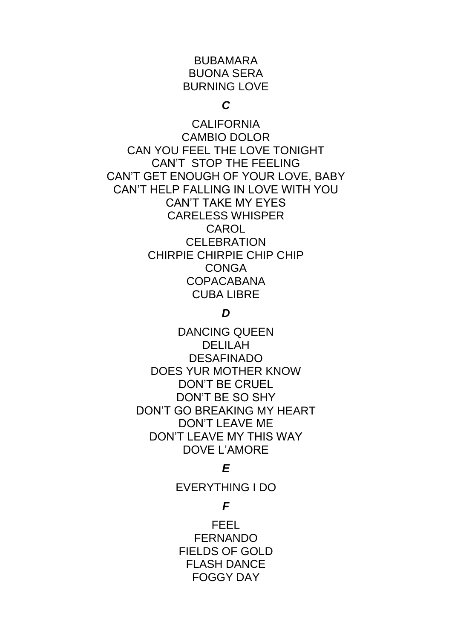# BUBAMARA BUONA SERA BURNING LOVE

### *C*

CALIFORNIA CAMBIO DOLOR CAN YOU FEEL THE LOVE TONIGHT CAN'T STOP THE FEELING CAN'T GET ENOUGH OF YOUR LOVE, BABY CAN'T HELP FALLING IN LOVE WITH YOU CAN'T TAKE MY EYES CARELESS WHISPER CAROL **CELEBRATION** CHIRPIE CHIRPIE CHIP CHIP **CONGA** COPACABANA CUBA LIBRE

# *D*

DANCING QUEEN DELILAH DESAFINADO DOES YUR MOTHER KNOW DON'T BE CRUEL DON'T BE SO SHY DON'T GO BREAKING MY HEART DON'T LEAVE ME DON'T I FAVE MY THIS WAY DOVE L'AMORE

# *E*

EVERYTHING I DO

# *F*

FEEL FERNANDO FIELDS OF GOLD FLASH DANCE FOGGY DAY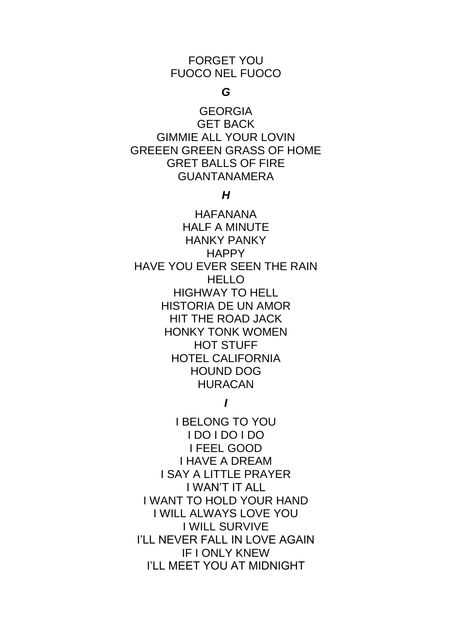### FORGET YOU FUOCO NEL FUOCO

# *G*

GEORGIA GET BACK GIMMIE ALL YOUR LOVIN GREEEN GREEN GRASS OF HOME GRET BALLS OF FIRE GUANTANAMERA

### *H*

HAFANANA HALF A MINUTE HANKY PANKY **HAPPY** HAVE YOU EVER SEEN THE RAIN HELLO HIGHWAY TO HELL HISTORIA DE UN AMOR HIT THE ROAD JACK HONKY TONK WOMEN HOT STUFF HOTEL CALIFORNIA HOUND DOG HURACAN

# *I*

I BELONG TO YOU I DO I DO I DO I FEEL GOOD I HAVE A DREAM I SAY A LITTLE PRAYER I WAN'T IT ALL I WANT TO HOLD YOUR HAND I WILL ALWAYS LOVE YOU I WILL SURVIVE I'LL NEVER FALL IN LOVE AGAIN IF I ONLY KNEW I'LL MEET YOU AT MIDNIGHT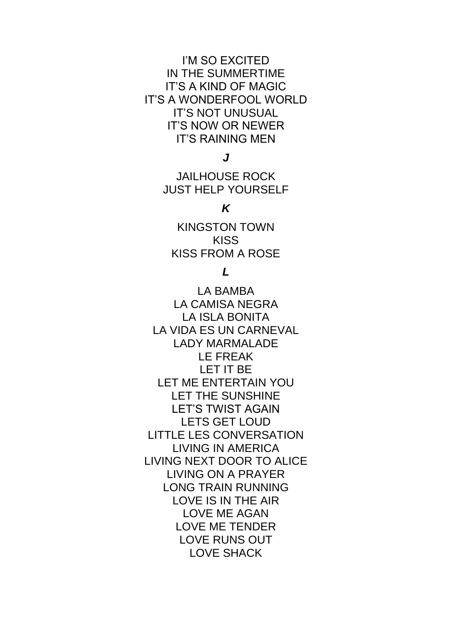I'M SO EXCITED IN THE SUMMERTIME IT'S A KIND OF MAGIC IT'S A WONDERFOOL WORLD IT'S NOT UNUSUAL IT'S NOW OR NEWER IT'S RAINING MEN

*J*

JAILHOUSE ROCK JUST HELP YOURSELF

### *K*

KINGSTON TOWN **KISS** KISS FROM A ROSE

# *L*

LA BAMBA LA CAMISA NEGRA LA ISLA BONITA LA VIDA ES UN CARNEVAL LADY MARMALADE LE FREAK LET IT BE LET ME ENTERTAIN YOU LET THE SUNSHINE LET'S TWIST AGAIN LETS GET LOUD LITTLE LES CONVERSATION LIVING IN AMERICA LIVING NEXT DOOR TO ALICE LIVING ON A PRAYER LONG TRAIN RUNNING LOVE IS IN THE AIR LOVE ME AGAN LOVE ME TENDER LOVE RUNS OUT LOVE SHACK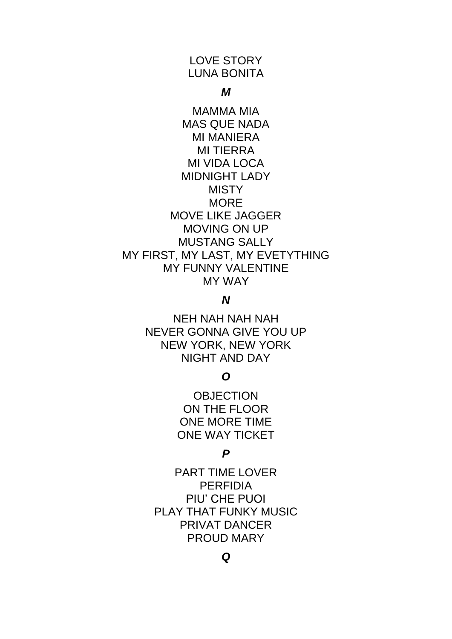# LOVE STORY LUNA BONITA

#### *M*

MAMMA MIA MAS QUE NADA MI MANIERA MI TIERRA MI VIDA LOCA MIDNIGHT LADY **MISTY** MORE MOVE LIKE JAGGER MOVING ON UP MUSTANG SALLY MY FIRST, MY LAST, MY EVETYTHING MY FUNNY VALENTINE MY WAY

### *N*

NEH NAH NAH NAH NEVER GONNA GIVE YOU UP NEW YORK, NEW YORK NIGHT AND DAY

### *O*

**OBJECTION** ON THE FLOOR ONE MORE TIME ONE WAY TICKET

### *P*

PART TIME LOVER PERFIDIA PIU' CHE PUOI PLAY THAT FUNKY MUSIC PRIVAT DANCER PROUD MARY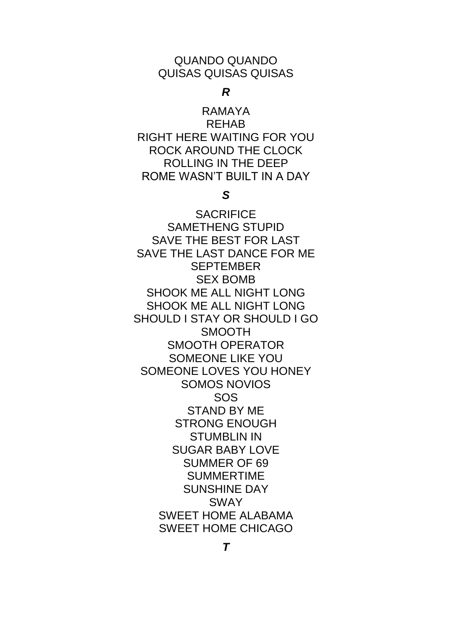#### QUANDO QUANDO QUISAS QUISAS QUISAS

#### *R*

RAMAYA REHAB RIGHT HERE WAITING FOR YOU ROCK AROUND THE CLOCK ROLLING IN THE DEEP ROME WASN'T BUILT IN A DAY

### *S*

**SACRIFICE** SAMETHENG STUPID SAVE THE BEST FOR LAST SAVE THE LAST DANCE FOR ME **SEPTEMBER** SEX BOMB SHOOK ME ALL NIGHT LONG SHOOK ME ALL NIGHT LONG SHOULD I STAY OR SHOULD I GO SMOOTH SMOOTH OPERATOR SOMEONE LIKE YOU SOMEONE LOVES YOU HONEY SOMOS NOVIOS SOS STAND BY ME STRONG ENOUGH STUMBLIN IN SUGAR BABY LOVE SUMMER OF 69 SUMMERTIME SUNSHINE DAY SWAY SWEET HOME ALABAMA SWEET HOME CHICAGO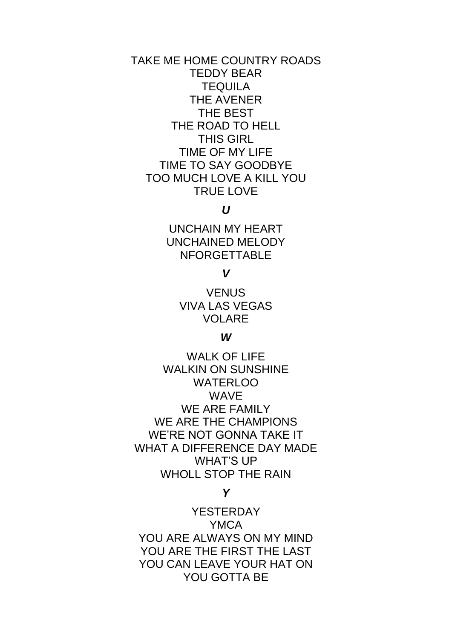# TAKE ME HOME COUNTRY ROADS TEDDY BEAR **TEQUILA** THE AVENER THE BEST THE ROAD TO HELL THIS GIRL TIME OF MY LIFE TIME TO SAY GOODBYE TOO MUCH LOVE A KILL YOU TRUE LOVE

# *U*

UNCHAIN MY HEART UNCHAINED MELODY NFORGETTABLE

### *V*

**VENUS** VIVA LAS VEGAS VOLARE

#### *W*

WALK OF LIFE WALKIN ON SUNSHINE WATERLOO WAVE WE ARE FAMILY WE ARE THE CHAMPIONS WE'RE NOT GONNA TAKE IT WHAT A DIFFERENCE DAY MADE WHAT'S UP WHOLL STOP THE RAIN

#### *Y*

**YESTERDAY** YMCA YOU ARE ALWAYS ON MY MIND YOU ARE THE FIRST THE LAST YOU CAN LEAVE YOUR HAT ON YOU GOTTA BE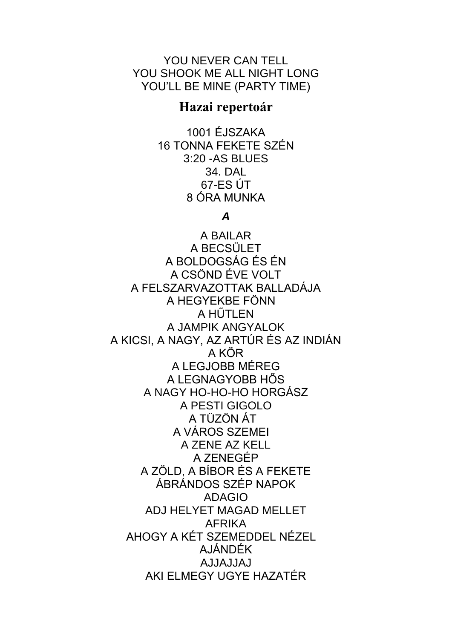YOU NEVER CAN TELL YOU SHOOK ME ALL NIGHT LONG YOU'LL BE MINE (PARTY TIME)

# Hazai repertoár

1001 ÉJSZAKA 16 TONNA FEKETE SZÉN 3:20 - AS BLUES 34. DAL  $67$ -ES ÚT 8 ÓRA MUNKA

#### $\boldsymbol{A}$

A BAILAR A BECSÜLET A BOLDOGSÁG ÉS ÉN A CSÖND ÉVE VOLT A FELSZARVAZOTTAK BALLADÁJA A HEGYEKBE FÖNN A HŰTLEN A JAMPIK ANGYALOK A KICSI, A NAGY, AZ ARTÚR ÉS AZ INDIÁN A KÖR A LEGJOBB MÉREG A LEGNAGYOBB HŐS A NAGY HO-HO-HO HORGÁSZ A PESTI GIGOLO A TÜZÖN ÁT A VÁROS SZEMEI A ZENE AZ KELL A ZENEGÉP A ZÖLD. A BÍBOR ÉS A FEKETE ÁBRÁNDOS SZÉP NAPOK **ADAGIO** ADJ HELYET MAGAD MELLET **AFRIKA** AHOGY A KÉT SZEMEDDEL NÉZEL **AJÁNDÉK LALLALLA** AKI ELMEGY UGYE HAZATÉR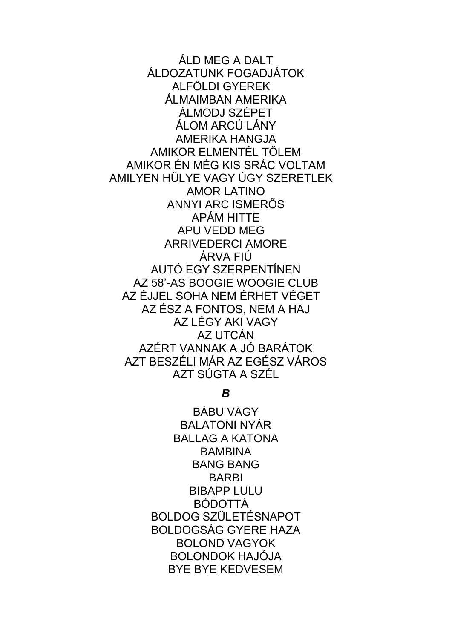ÁLD MEG A DALT ÁLDOZATUNK FOGADJÁTOK ALFÖLDI GYEREK ÁLMAIMBAN AMERIKA ÁLMODJ SZÉPET ÁLOM ARCIÚ LÁNY AMFRIKA HANGJA AMIKOR ELMENTÉL TŐLEM AMIKOR ÉN MÉG KIS SRÁC VOLTAM AMILYEN HÜLYE VAGY ÚGY SZERETLEK **AMOR LATINO** ANNYI ARC ISMERŐS APÁM HITTE **APU VEDD MEG ARRIVEDERCI AMORE** ÁRVA FILI AUTÓ EGY SZERPENTÍNEN AZ 58'-AS BOOGIF WOOGIF CLUB AZ ÉJJEL SOHA NEM ÉRHET VÉGET AZ ÉSZ A FONTOS, NEM A HAJ AZ LÉGY AKI VAGY AZ UTCÁN AZÉRT VANNAK A JÓ BARÁTOK AZT BESZÉLLMÁR AZ EGÉSZ VÁROS AZT SÚGTA A SZÉL

 $\boldsymbol{B}$ 

**BÁBU VAGY BALATONI NYÁR BALLAG A KATONA BAMBINA BANG BANG BARBI BIBAPP LULU BÓDOTTÁ BOLDOG SZÜLETÉSNAPOT BOLDOGSÁG GYERE HAZA BOLOND VAGYOK BOLONDOK HAJÓJA BYF BYF KFDVFSFM**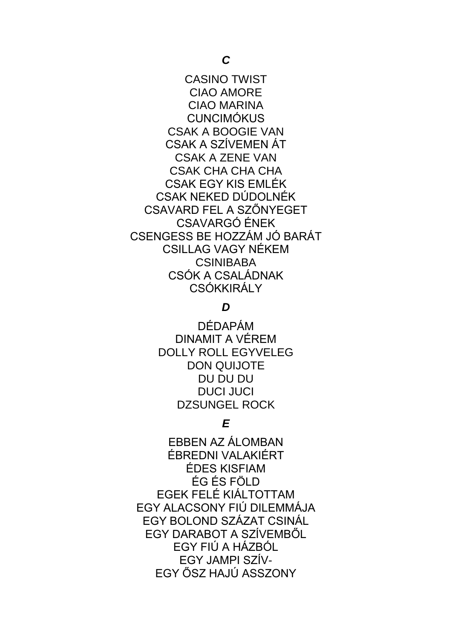CASINO TWIST CIAO AMORE CIAO MARINA **CUNCIMÓKUS** CSAK A BOOGIE VAN CSAK A SZÍVEMEN ÁT CSAK A ZENE VAN CSAK CHA CHA CHA CSAK EGY KIS EMLÉK CSAK NEKED DÚDOLNÉK CSAVARD FEL A SZŐNYEGET CSAVARGÓ ÉNEK CSENGESS BE HOZZÁM JÓ BARÁT CSILLAG VAGY NÉKEM **CSINIBABA** CSÓK A CSALÁDNAK **CSÓKKIRÁLY** 

### *D*

DÉDAPÁM DINAMIT A VÉREM DOLLY ROLL EGYVELEG DON QUIJOTE DU DU DU DUCI JUCI DZSUNGEL ROCK

# *E*

EBBEN AZ ÁLOMBAN ÉBREDNI VALAKIÉRT ÉDES KISFIAM ÉG ÉS FÖLD EGEK FELÉ KIÁLTOTTAM EGY ALACSONY FIÚ DILEMMÁJA EGY BOLOND SZÁZAT CSINÁL EGY DARABOT A SZÍVEMBŐL EGY FIÚ A HÁZBÓL EGY JAMPI SZÍV-EGY ŐSZ HAJÚ ASSZONY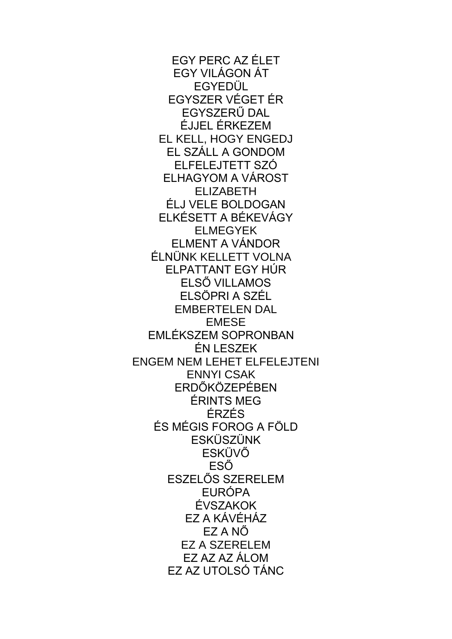EGY PERC AZ ÉLET EGY VILÁGON ÁT EGYEDÜL EGYSZER VÉGET ÉR EGYSZERŰ DAL ÉJJEL ÉRKEZEM EL KELL, HOGY ENGEDJ EL SZÁLL A GONDOM ELFELEJTETT SZÓ ELHAGYOM A VÁROST ELIZABETH ÉLJ VELE BOLDOGAN ELKÉSETT A BÉKEVÁGY ELMEGYEK ELMENT A VÁNDOR ÉLNÜNK KELLETT VOLNA ELPATTANT EGY HÚR ELSŐ VILLAMOS ELSÖPRI A SZÉL EMBERTELEN DAL EMESE EMLÉKSZEM SOPRONBAN ÉN LESZEK ENGEM NEM LEHET ELFELEJTENI ENNYI CSAK ERDŐKÖZEPÉBEN ÉRINTS MEG ÉRZÉS ÉS MÉGIS FOROG A FÖLD ESKÜSZÜNK ESKÜVŐ ESŐ ESZELŐS SZERELEM EURÓPA ÉVSZAKOK EZ A KÁVÉHÁZ EZ A NŐ EZ A SZERELEM EZ AZ AZ ÁLOM EZ AZ UTOLSÓ TÁNC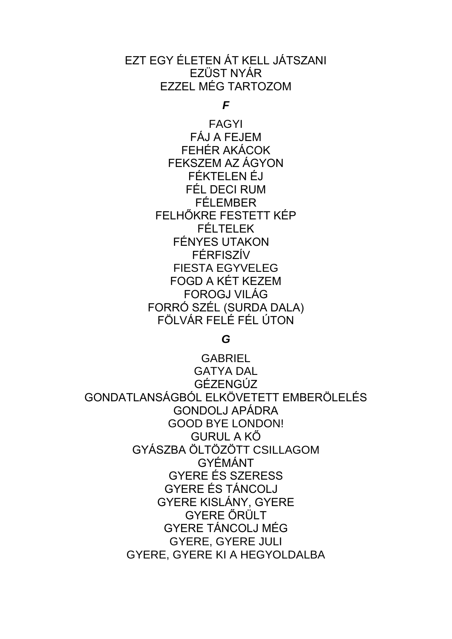# EZT EGY ÉLETEN ÁT KELL JÁTSZANI EZÜST NYÁR EZZEL MÉG TARTOZOM

*F*

FAGYI FÁJ A FEJEM FEHÉR AKÁCOK FEKSZEM AZ ÁGYON FÉKTELEN ÉJ FÉL DECI RUM FÉLEMBER FELHŐKRE FESTETT KÉP FÉLTELEK FÉNYES UTAKON FÉRFISZÍV FIESTA EGYVELEG FOGD A KÉT KEZEM FOROGJ VILÁG FORRÓ SZÉL (SURDA DALA) FÖLVÁR FELÉ FÉL ÚTON

*G*

GABRIEL GATYA DAL GÉZENGÚZ GONDATLANSÁGBÓL ELKÖVETETT EMBERÖLELÉS GONDOLJ APÁDRA GOOD BYE LONDON! GURUL A KŐ GYÁSZBA ÖLTÖZÖTT CSILLAGOM GYÉMÁNT GYERE ÉS SZERESS GYERE ÉS TÁNCOLJ GYERE KISLÁNY, GYERE GYERE ŐRÜLT GYERE TÁNCOLJ MÉG GYERE, GYERE JULI GYERE, GYERE KI A HEGYOLDALBA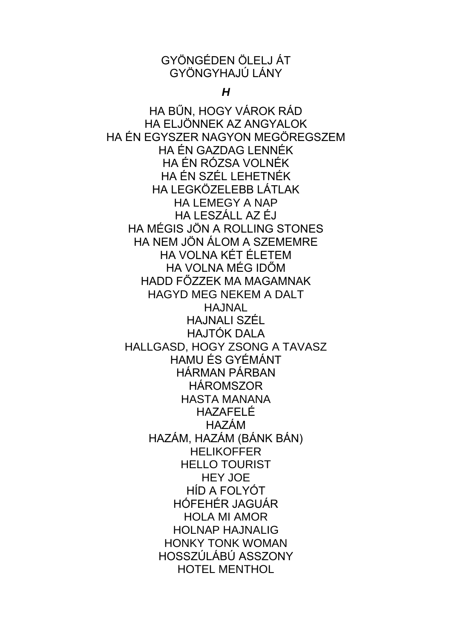# GYÖNGÉDEN ÖLELJ ÁT GYÖNGYHAJLÍ LÁNY

 $H$ 

HA BŰN, HOGY VÁROK RÁD HA ELJÖNNEK AZ ANGYALOK HA ÉN EGYSZER NAGYON MEGÖREGSZEM HA ÉN GAZDAG I ENNÉK HA ÉN RÓZSA VOLNÉK HA ÉN SZÉL LEHETNÉK HA I FGKÖZELEBB LÁTLAK **HA LEMEGY A NAP** HAIFSZÁLL AZ ÉJ HA MÉGIS JÖN A ROLLING STONES HA NEM JÖN ÁLOM A SZEMEMRE HA VOI NA KÉT ÉI FTEM HA VOI NA MÉG IDŐM HADD FÖZZEK MA MAGAMNAK **HAGYD MEG NEKEM A DALT HAJNAL** HAJNALI SZÉL **HAJTÓK DALA** HALLGASD, HOGY ZSONG A TAVASZ HAMU ÉS GYÉMÁNT **HÁRMAN PÁRBAN HÁROMSZOR HASTA MANANA** HAZAFELÉ **HAZÁM** HAZÁM, HAZÁM (BÁNK BÁN) **HELIKOFFER HELLO TOURIST HEY JOE** HÍD A FOLYÓT HÓFEHÉR JAGUÁR **HOLA MI AMOR HOLNAP HAJNALIG HONKY TONK WOMAN** HOSSZÚLÁBÚ ASSZONY **HOTEL MENTHOL**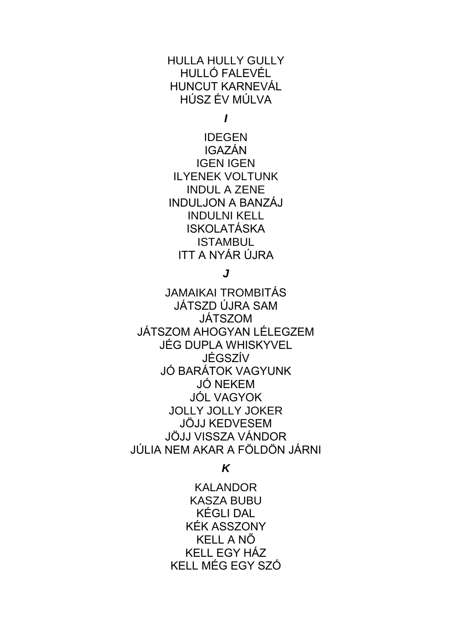# HULLA HULLY GULLY HULLÓ FALEVÉL HUNCUT KARNEVÁL HÚSZ ÉV MÚLVA

*I*

IDEGEN IGAZÁN IGEN IGEN ILYENEK VOLTUNK INDUL A ZENE INDULJON A BANZÁJ INDULNI KELL ISKOLATÁSKA **ISTAMBUL** ITT A NYÁR ÚJRA

### *J*

JAMAIKAI TROMBITÁS JÁTSZD ÚJRA SAM JÁTSZOM JÁTSZOM AHOGYAN LÉLEGZEM JÉG DUPLA WHISKYVEL JÉGSZÍV JÓ BARÁTOK VAGYUNK JÓ NEKEM JÓL VAGYOK JOLLY JOLLY JOKER JÖJJ KEDVESEM JÖJJ VISSZA VÁNDOR JÚLIA NEM AKAR A FÖLDÖN JÁRNI

# *K*

KAI ANDOR KASZA BUBU KÉGLI DAL KÉK ASSZONY KELL A NŐ KELL EGY HÁZ KELL MÉG EGY SZÓ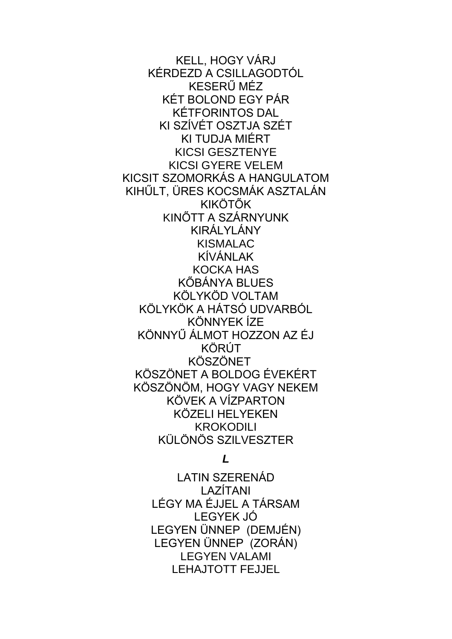KELL, HOGY VÁRJ KÉRDEZD A CSILLAGODTÓL KESERŰ MÉZ KÉT BOLOND EGY PÁR KÉTFORINTOS DAL KI SZÍVÉT OSZTJA SZÉT KI TUDJA MIÉRT KICSI GESZTENYE KICSI GYERE VELEM KICSIT SZOMORKÁS A HANGULATOM KIHŰLT, ÜRES KOCSMÁK ASZTALÁN KIKÖTŐK KINŐTT A SZÁRNYUNK KIRÁLYLÁNY KISMALAC KÍVÁNLAK KOCKA HAS KŐBÁNYA BLUES KÖLYKÖD VOLTAM KÖLYKÖK A HÁTSÓ UDVARBÓL KÖNNYEK ÍZE KÖNNYŰ ÁLMOT HOZZON AZ ÉJ KÖRÚT KÖSZÖNET KÖSZÖNET A BOLDOG ÉVEKÉRT KÖSZÖNÖM, HOGY VAGY NEKEM KÖVEK A VÍZPARTON KÖZELI HELYEKEN KROKODILI KÜLÖNÖS SZILVESZTER

*L*

LATIN SZERENÁD LAZÍTANI LÉGY MA ÉJJEL A TÁRSAM LEGYEK JÓ LEGYEN ÜNNEP (DEMJÉN) LEGYEN ÜNNEP (ZORÁN) LEGYEN VALAMI LEHAJTOTT FEJJEL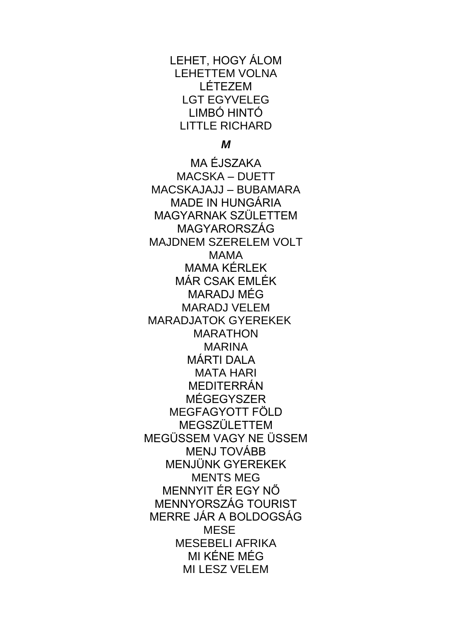LEHET, HOGY ÁLOM LEHETTEM VOLNA LÉTEZEM LGT EGYVELEG LIMBÓ HINTÓ LITTLE RICHARD

*M*

MA ÉJSZAKA MACSKA – DUETT MACSKAJAJJ – BUBAMARA MADE IN HUNGÁRIA MAGYARNAK SZÜLETTEM MAGYARORSZÁG MAJDNEM SZERELEM VOLT MAMA MAMA KÉRLEK MÁR CSAK EMLÉK MARADJ MÉG MARADJ VELEM MARADJATOK GYEREKEK MARATHON MARINA MÁRTI DALA MATA HARI MEDITERRÁN MÉGEGYSZER MEGFAGYOTT FÖLD MEGSZÜLETTEM MEGÜSSEM VAGY NE ÜSSEM MENJ TOVÁBB MENJÜNK GYEREKEK MENTS MEG MENNYIT ÉR EGY NŐ MENNYORSZÁG TOURIST MERRE JÁR A BOLDOGSÁG MESE MESEBELI AFRIKA MI KÉNE MÉG MI LESZ VELEM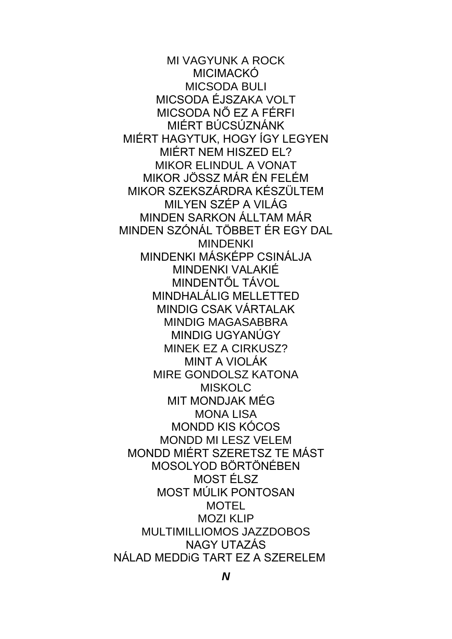MI VAGYUNK A ROCK MICIMACKÓ MICSODA BULI MICSODA ÉJSZAKA VOLT MICSODA NŐ EZ A FÉRFI MIÉRT BÚCSÚZNÁNK MIÉRT HAGYTUK, HOGY ÍGY LEGYEN MIÉRT NEM HISZED EL? MIKOR ELINDUL A VONAT MIKOR JÖSSZ MÁR ÉN FELÉM MIKOR SZEKSZÁRDRA KÉSZÜLTEM MILYEN SZÉP A VILÁG MINDEN SARKON ÁLLTAM MÁR MINDEN SZÓNÁL TÖBBET ÉR EGY DAL MINDENKI MINDENKI MÁSKÉPP CSINÁLJA MINDENKI VALAKIÉ MINDENTŐL TÁVOL MINDHALÁLIG MELLETTED MINDIG CSAK VÁRTALAK MINDIG MAGASABBRA MINDIG UGYANÚGY MINEK EZ A CIRKUSZ? MINT A VIOLÁK MIRE GONDOLSZ KATONA **MISKOLC** MIT MONDJAK MÉG MONA LISA MONDD KIS KÓCOS MONDD MI LESZ VELEM MONDD MIÉRT SZERETSZ TE MÁST MOSOLYOD BÖRTÖNÉBEN MOST ÉLSZ MOST MÚLIK PONTOSAN **MOTEL** MOZI KLIP MULTIMILLIOMOS JAZZDOBOS NAGY UTAZÁS NÁLAD MEDDiG TART EZ A SZERELEM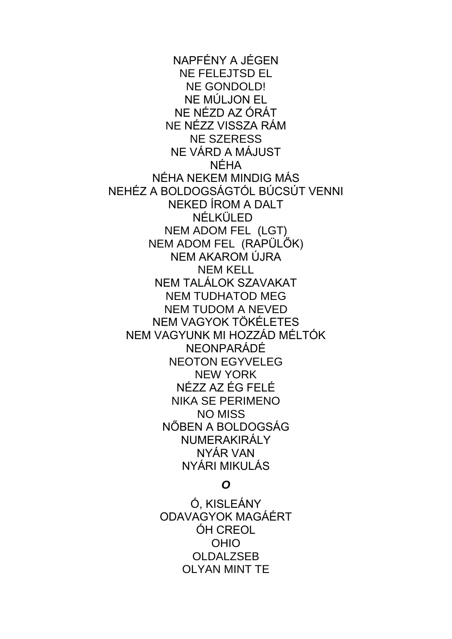NAPFÉNY A JÉGEN NE FELEJTSD EL NE GONDOLD! NE MÚLJON EL NE NÉZD AZ ÓRÁT NE NÉZZ VISSZA RÁM NE SZERESS NE VÁRD A MÁJUST NÉHA NÉHA NEKEM MINDIG MÁS NEHÉZ A BOLDOGSÁGTÓL BÚCSÚT VENNI NEKED ÍROM A DALT NÉLKÜLED NEM ADOM FEL (LGT) NEM ADOM FEL (RAPÜLŐK) NEM AKAROM ÚJRA NEM KELL NEM TALÁLOK SZAVAKAT NEM TUDHATOD MEG NEM TUDOM A NEVED NEM VAGYOK TÖKÉLETES NEM VAGYUNK MI HOZZÁD MÉLTÓK NEONPARÁDÉ NEOTON EGYVELEG NEW YORK NÉZZ AZ ÉG FELÉ NIKA SE PERIMENO NO MISS NŐBEN A BOLDOGSÁG NUMERAKIRÁLY NYÁR VAN NYÁRI MIKULÁS

#### *O*

Ó, KISLEÁNY ODAVAGYOK MAGÁÉRT ÓH CREOL OHIO **OLDALZSEB** OLYAN MINT TE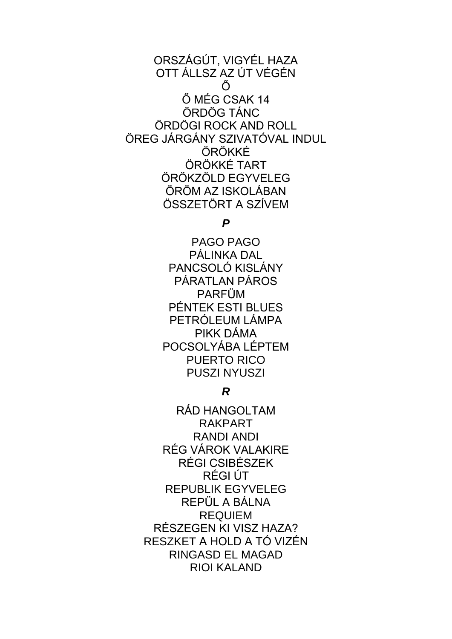ORSZÁGÚT, VIGYÉL HAZA OTT ÁLLSZ AZ ÚT VÉGÉN Ő Ő MÉG CSAK 14 ÖRDÖG TÁNC ÖRDÖGI ROCK AND ROLL ÖREG JÁRGÁNY SZIVATÓVAL INDUL ÖRÖKKÉ ÖRÖKKÉ TART ÖRÖKZÖLD EGYVELEG ÖRÖM AZ ISKOLÁBAN ÖSSZETÖRT A SZÍVEM

*P*

PAGO PAGO PÁLINKA DAL PANCSOLÓ KISLÁNY PÁRATLAN PÁROS PARFÜM PÉNTEK ESTI BLUES PETRÓLEUM LÁMPA PIKK DÁMA POCSOLYÁBA LÉPTEM PUERTO RICO PUSZI NYUSZI

*R*

RÁD HANGOLTAM RAKPART RANDI ANDI RÉG VÁROK VALAKIRE RÉGI CSIBÉSZEK RÉGI ÚT REPUBLIK EGYVELEG REPÜL A BÁLNA REQUIEM RÉSZEGEN KI VISZ HAZA? RESZKET A HOLD A TÓ VIZÉN RINGASD EL MAGAD RIOI KALAND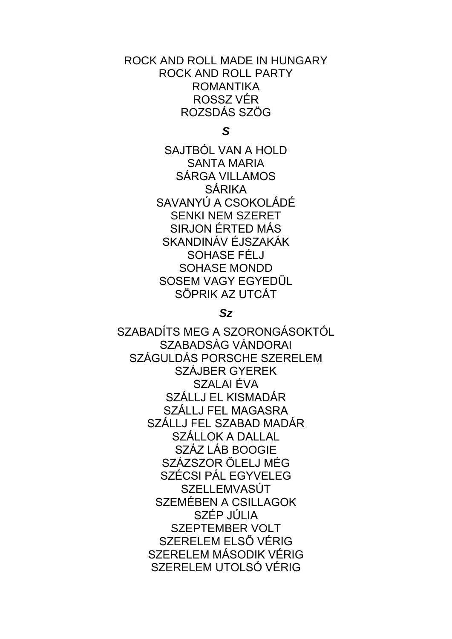ROCK AND ROLL MADE IN HUNGARY ROCK AND ROLL PARTY ROMANTIKA ROSSZ VÉR ROZSDÁS SZÖG

*S*

SAJTBÓL VAN A HOLD SANTA MARIA SÁRGA VILLAMOS SÁRIKA SAVANYÚ A CSOKOLÁDÉ SENKI NEM SZERET SIRJON ÉRTED MÁS SKANDINÁV ÉJSZAKÁK SOHASE FÉLJ SOHASE MONDD SOSEM VAGY EGYEDÜL SÖPRIK AZ UTCÁT

### *Sz*

SZABADÍTS MEG A SZORONGÁSOKTÓL SZABADSÁG VÁNDORAI SZÁGULDÁS PORSCHE SZERELEM SZÁJBER GYEREK SZALAI ÉVA SZÁLLJ EL KISMADÁR SZÁLLJ FEL MAGASRA SZÁLLJ FEL SZABAD MADÁR SZÁLLOK A DALLAL SZÁZ LÁB BOOGIE SZÁZSZOR ÖLELJ MÉG SZÉCSI PÁL EGYVELEG **SZELLEMVASÚT** SZEMÉBEN A CSILLAGOK SZÉP JÚLIA SZEPTEMBER VOLT SZERELEM ELSŐ VÉRIG SZERELEM MÁSODIK VÉRIG SZERELEM UTOLSÓ VÉRIG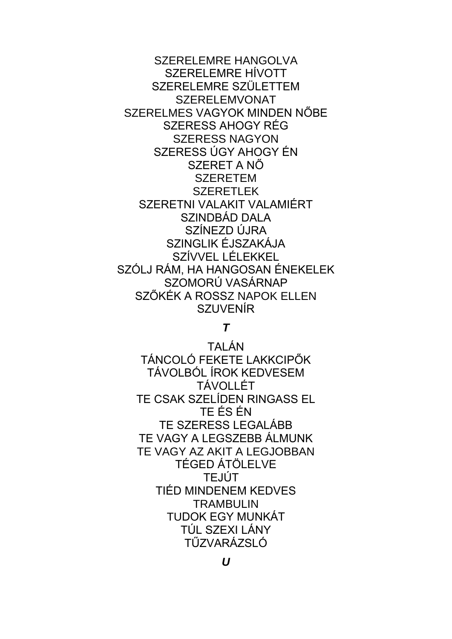**SZERELEMRE HANGOLVA** SZERELEMRE HÍVOTT SZERELEMRE SZÜLETTEM **SZERELEMVONAT** SZERELMES VAGYOK MINDEN NŐBE SZERESS AHOGY RÉG **SZERESS NAGYON** SZERESS ÚGY AHOGY ÉN SZERET A NŐ **SZERETEM SZERETLEK** SZERETNI VALAKIT VALAMIÉRT SZINDBÁD DALA SZÍNEZD ÚJRA SZINGLIK ÉJSZAKÁJA SZÍVVEL LÉLEKKEL SZÓLJ RÁM. HA HANGOSAN ÉNEKELEK SZOMORÚ VASÁRNAP SZŐKÉK A ROSSZ NAPOK ELLEN **SZUVENÍR** 

### $\boldsymbol{\tau}$

TAI ÁN TÁNCOLÓ FEKETE LAKKCIPŐK TÁVOLBÓL ÍROK KEDVESEM. **TÁVOLLÉT** TE CSAK SZELÍDEN RINGASS EL TE ÉS ÉN TF SZERESS LEGALÁBB TE VAGY A LEGSZEBB ÁLMUNK TE VAGY AZ AKIT A LEGJOBBAN **TÉGED ÁTÖLELVE TEJÚT** TIÉD MINDENEM KEDVES **TRAMBULIN TUDOK EGY MUNKÁT** TÚL SZEXI LÁNY TŰZVARÁZSLÓ